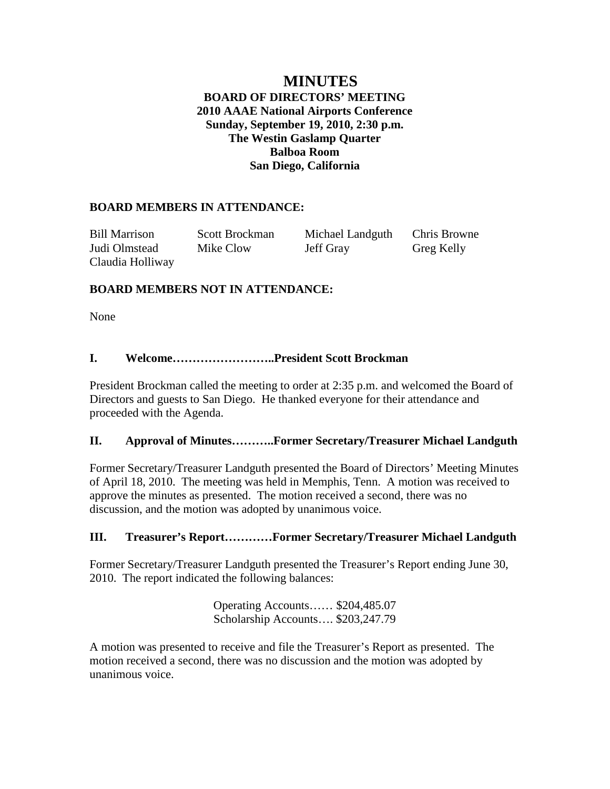# **MINUTES BOARD OF DIRECTORS' MEETING 2010 AAAE National Airports Conference Sunday, September 19, 2010, 2:30 p.m. The Westin Gaslamp Quarter Balboa Room San Diego, California**

# **BOARD MEMBERS IN ATTENDANCE:**

Bill Marrison Scott Brockman Michael Landguth Chris Browne Judi Olmstead Mike Clow Jeff Gray Greg Kelly Claudia Holliway

# **BOARD MEMBERS NOT IN ATTENDANCE:**

None

# **I. Welcome……………………..President Scott Brockman**

President Brockman called the meeting to order at 2:35 p.m. and welcomed the Board of Directors and guests to San Diego. He thanked everyone for their attendance and proceeded with the Agenda.

### **II. Approval of Minutes………..Former Secretary/Treasurer Michael Landguth**

Former Secretary/Treasurer Landguth presented the Board of Directors' Meeting Minutes of April 18, 2010. The meeting was held in Memphis, Tenn. A motion was received to approve the minutes as presented. The motion received a second, there was no discussion, and the motion was adopted by unanimous voice.

### **III. Treasurer's Report…………Former Secretary/Treasurer Michael Landguth**

Former Secretary/Treasurer Landguth presented the Treasurer's Report ending June 30, 2010. The report indicated the following balances:

> Operating Accounts…… \$204,485.07 Scholarship Accounts…. \$203,247.79

A motion was presented to receive and file the Treasurer's Report as presented. The motion received a second, there was no discussion and the motion was adopted by unanimous voice.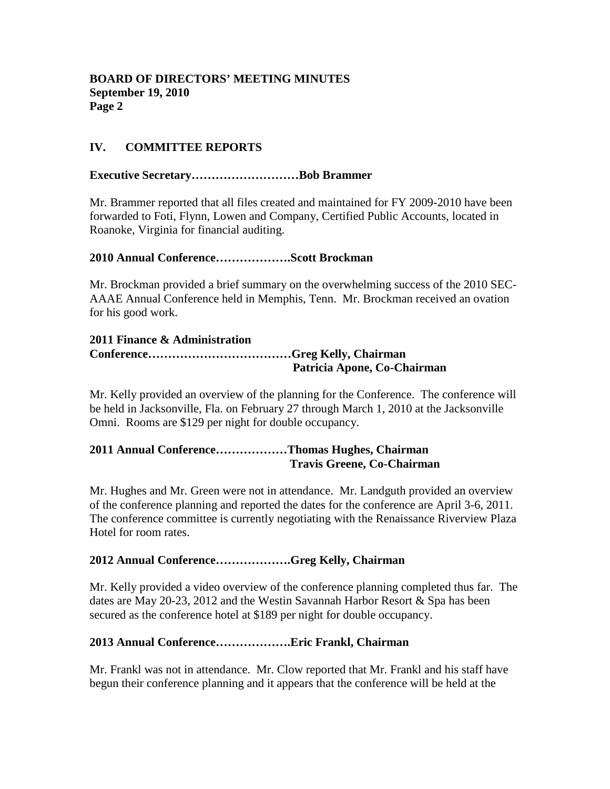## **IV. COMMITTEE REPORTS**

#### **Executive Secretary………………………Bob Brammer**

Mr. Brammer reported that all files created and maintained for FY 2009-2010 have been forwarded to Foti, Flynn, Lowen and Company, Certified Public Accounts, located in Roanoke, Virginia for financial auditing.

#### **2010 Annual Conference……………….Scott Brockman**

Mr. Brockman provided a brief summary on the overwhelming success of the 2010 SEC-AAAE Annual Conference held in Memphis, Tenn. Mr. Brockman received an ovation for his good work.

#### **2011 Finance & Administration**

# **Conference………………………………Greg Kelly, Chairman Patricia Apone, Co-Chairman**

Mr. Kelly provided an overview of the planning for the Conference. The conference will be held in Jacksonville, Fla. on February 27 through March 1, 2010 at the Jacksonville Omni. Rooms are \$129 per night for double occupancy.

## **2011 Annual Conference………………Thomas Hughes, Chairman Travis Greene, Co-Chairman**

Mr. Hughes and Mr. Green were not in attendance. Mr. Landguth provided an overview of the conference planning and reported the dates for the conference are April 3-6, 2011. The conference committee is currently negotiating with the Renaissance Riverview Plaza Hotel for room rates.

### **2012 Annual Conference……………….Greg Kelly, Chairman**

Mr. Kelly provided a video overview of the conference planning completed thus far. The dates are May 20-23, 2012 and the Westin Savannah Harbor Resort & Spa has been secured as the conference hotel at \$189 per night for double occupancy.

### **2013 Annual Conference……………….Eric Frankl, Chairman**

Mr. Frankl was not in attendance. Mr. Clow reported that Mr. Frankl and his staff have begun their conference planning and it appears that the conference will be held at the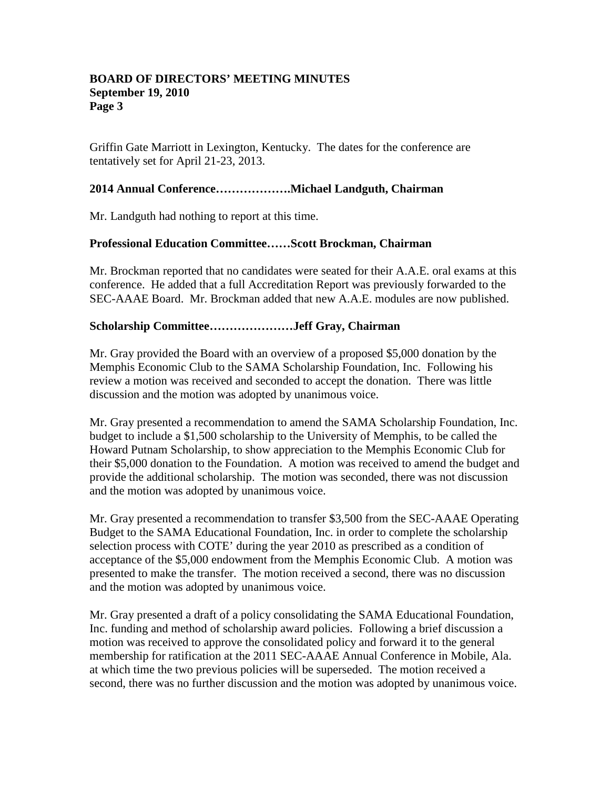Griffin Gate Marriott in Lexington, Kentucky. The dates for the conference are tentatively set for April 21-23, 2013.

# **2014 Annual Conference……………….Michael Landguth, Chairman**

Mr. Landguth had nothing to report at this time.

## **Professional Education Committee……Scott Brockman, Chairman**

Mr. Brockman reported that no candidates were seated for their A.A.E. oral exams at this conference. He added that a full Accreditation Report was previously forwarded to the SEC-AAAE Board. Mr. Brockman added that new A.A.E. modules are now published.

## **Scholarship Committee…………………Jeff Gray, Chairman**

Mr. Gray provided the Board with an overview of a proposed \$5,000 donation by the Memphis Economic Club to the SAMA Scholarship Foundation, Inc. Following his review a motion was received and seconded to accept the donation. There was little discussion and the motion was adopted by unanimous voice.

Mr. Gray presented a recommendation to amend the SAMA Scholarship Foundation, Inc. budget to include a \$1,500 scholarship to the University of Memphis, to be called the Howard Putnam Scholarship, to show appreciation to the Memphis Economic Club for their \$5,000 donation to the Foundation. A motion was received to amend the budget and provide the additional scholarship. The motion was seconded, there was not discussion and the motion was adopted by unanimous voice.

Mr. Gray presented a recommendation to transfer \$3,500 from the SEC-AAAE Operating Budget to the SAMA Educational Foundation, Inc. in order to complete the scholarship selection process with COTE' during the year 2010 as prescribed as a condition of acceptance of the \$5,000 endowment from the Memphis Economic Club. A motion was presented to make the transfer. The motion received a second, there was no discussion and the motion was adopted by unanimous voice.

Mr. Gray presented a draft of a policy consolidating the SAMA Educational Foundation, Inc. funding and method of scholarship award policies. Following a brief discussion a motion was received to approve the consolidated policy and forward it to the general membership for ratification at the 2011 SEC-AAAE Annual Conference in Mobile, Ala. at which time the two previous policies will be superseded. The motion received a second, there was no further discussion and the motion was adopted by unanimous voice.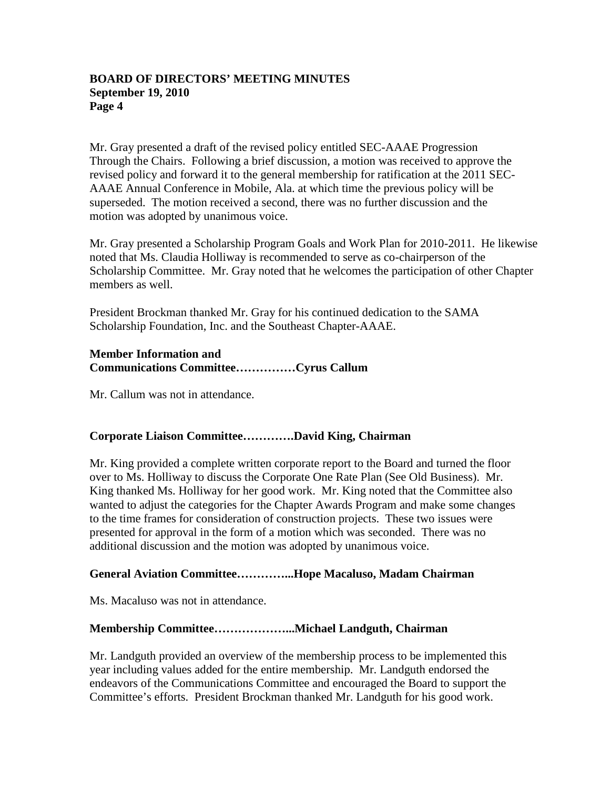Mr. Gray presented a draft of the revised policy entitled SEC-AAAE Progression Through the Chairs. Following a brief discussion, a motion was received to approve the revised policy and forward it to the general membership for ratification at the 2011 SEC-AAAE Annual Conference in Mobile, Ala. at which time the previous policy will be superseded. The motion received a second, there was no further discussion and the motion was adopted by unanimous voice.

Mr. Gray presented a Scholarship Program Goals and Work Plan for 2010-2011. He likewise noted that Ms. Claudia Holliway is recommended to serve as co-chairperson of the Scholarship Committee. Mr. Gray noted that he welcomes the participation of other Chapter members as well.

President Brockman thanked Mr. Gray for his continued dedication to the SAMA Scholarship Foundation, Inc. and the Southeast Chapter-AAAE.

### **Member Information and Communications Committee……………Cyrus Callum**

Mr. Callum was not in attendance.

# **Corporate Liaison Committee………….David King, Chairman**

Mr. King provided a complete written corporate report to the Board and turned the floor over to Ms. Holliway to discuss the Corporate One Rate Plan (See Old Business). Mr. King thanked Ms. Holliway for her good work. Mr. King noted that the Committee also wanted to adjust the categories for the Chapter Awards Program and make some changes to the time frames for consideration of construction projects. These two issues were presented for approval in the form of a motion which was seconded. There was no additional discussion and the motion was adopted by unanimous voice.

# **General Aviation Committee…………...Hope Macaluso, Madam Chairman**

Ms. Macaluso was not in attendance.

# **Membership Committee………………...Michael Landguth, Chairman**

Mr. Landguth provided an overview of the membership process to be implemented this year including values added for the entire membership. Mr. Landguth endorsed the endeavors of the Communications Committee and encouraged the Board to support the Committee's efforts. President Brockman thanked Mr. Landguth for his good work.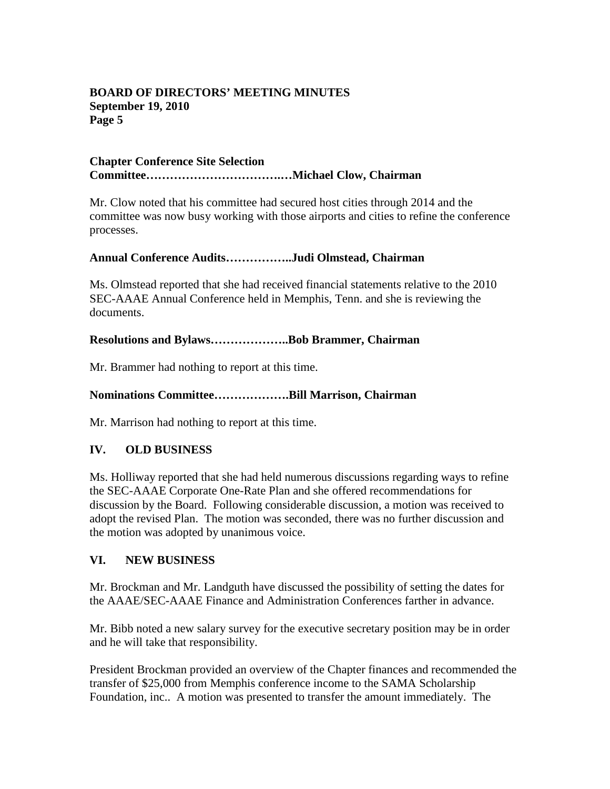# **Chapter Conference Site Selection Committee…………………………….…Michael Clow, Chairman**

Mr. Clow noted that his committee had secured host cities through 2014 and the committee was now busy working with those airports and cities to refine the conference processes.

# **Annual Conference Audits……………..Judi Olmstead, Chairman**

Ms. Olmstead reported that she had received financial statements relative to the 2010 SEC-AAAE Annual Conference held in Memphis, Tenn. and she is reviewing the documents.

# **Resolutions and Bylaws………………..Bob Brammer, Chairman**

Mr. Brammer had nothing to report at this time.

## **Nominations Committee……………….Bill Marrison, Chairman**

Mr. Marrison had nothing to report at this time.

### **IV. OLD BUSINESS**

Ms. Holliway reported that she had held numerous discussions regarding ways to refine the SEC-AAAE Corporate One-Rate Plan and she offered recommendations for discussion by the Board. Following considerable discussion, a motion was received to adopt the revised Plan. The motion was seconded, there was no further discussion and the motion was adopted by unanimous voice.

### **VI. NEW BUSINESS**

Mr. Brockman and Mr. Landguth have discussed the possibility of setting the dates for the AAAE/SEC-AAAE Finance and Administration Conferences farther in advance.

Mr. Bibb noted a new salary survey for the executive secretary position may be in order and he will take that responsibility.

President Brockman provided an overview of the Chapter finances and recommended the transfer of \$25,000 from Memphis conference income to the SAMA Scholarship Foundation, inc.. A motion was presented to transfer the amount immediately. The